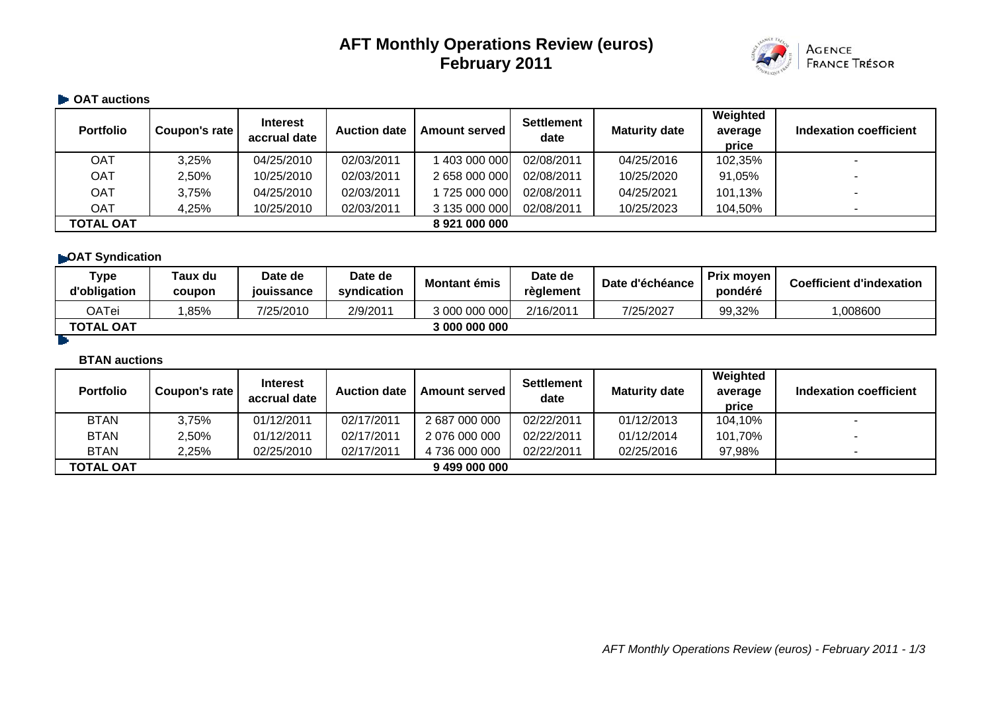# **AFT Monthly Operations Review (euros) February 2011**



#### **• OAT auctions**

| <b>Portfolio</b> | Coupon's rate | <b>Interest</b><br>accrual date | <b>Auction date</b> | <b>Amount served</b> | <b>Settlement</b><br>date | <b>Maturity date</b> | Weighted<br>average<br>price | Indexation coefficient |
|------------------|---------------|---------------------------------|---------------------|----------------------|---------------------------|----------------------|------------------------------|------------------------|
| OAT              | 3,25%         | 04/25/2010                      | 02/03/2011          | 403 000 000          | 02/08/2011                | 04/25/2016           | 102,35%                      |                        |
| <b>OAT</b>       | 2,50%         | 10/25/2010                      | 02/03/2011          | 2 658 000 000        | 02/08/2011                | 10/25/2020           | 91,05%                       |                        |
| <b>OAT</b>       | 3,75%         | 04/25/2010                      | 02/03/2011          | 725 000 000          | 02/08/2011                | 04/25/2021           | 101,13%                      |                        |
| OAT              | 4,25%         | 10/25/2010                      | 02/03/2011          | 3 135 000 000        | 02/08/2011                | 10/25/2023           | 104,50%                      |                        |
| <b>TOTAL OAT</b> |               |                                 |                     | 8921000000           |                           |                      |                              |                        |

## **OAT Syndication**

| <b>Type</b><br>d'obligation | Taux du<br>coupon | Date de<br>iouissance | Date de<br>syndication | Montant émis  | Date de<br>réglement | Date d'échéance | <b>Prix moven</b><br>pondéré | <b>Coefficient d'indexation</b> |
|-----------------------------|-------------------|-----------------------|------------------------|---------------|----------------------|-----------------|------------------------------|---------------------------------|
| <b>OATei</b>                | ,85%              | 7/25/2010             | 2/9/2011               | 3 000 000 000 | 2/16/2011            | 7/25/2027       | 99,32%                       | ,008600                         |
| <b>TOTAL OAT</b>            |                   |                       |                        | 3 000 000 000 |                      |                 |                              |                                 |
|                             |                   |                       |                        |               |                      |                 |                              |                                 |

#### **BTAN auctions**

| <b>Portfolio</b> | Coupon's rate | <b>Interest</b><br>accrual date | <b>Auction date</b> | <b>Amount served</b> | <b>Settlement</b><br>date | <b>Maturity date</b> | Weighted<br>average<br>price | <b>Indexation coefficient</b> |
|------------------|---------------|---------------------------------|---------------------|----------------------|---------------------------|----------------------|------------------------------|-------------------------------|
| <b>BTAN</b>      | 3,75%         | 01/12/2011                      | 02/17/2011          | 2 687 000 000        | 02/22/2011                | 01/12/2013           | 104,10%                      |                               |
| <b>BTAN</b>      | 2,50%         | 01/12/2011                      | 02/17/2011          | 2 076 000 000        | 02/22/2011                | 01/12/2014           | 101,70%                      | $\blacksquare$                |
| <b>BTAN</b>      | 2,25%         | 02/25/2010                      | 02/17/2011          | 4 736 000 000        | 02/22/2011                | 02/25/2016           | 97,98%                       |                               |
| <b>TOTAL OAT</b> |               |                                 |                     | 9499000000           |                           |                      |                              |                               |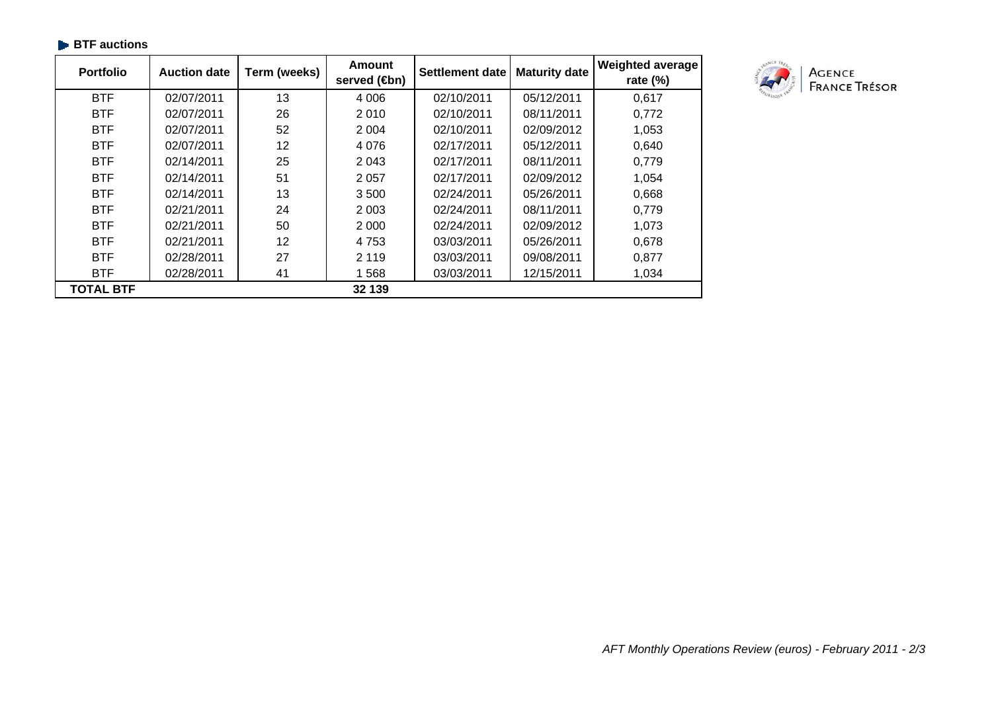| $\blacktriangleright$ BTF auctions |                     |  |  |  |  |  |
|------------------------------------|---------------------|--|--|--|--|--|
| <b>Portfolio</b>                   | Auction date   Tern |  |  |  |  |  |

| <b>Portfolio</b> | <b>Auction date</b> | Term (weeks) | <b>Amount</b><br>served (step) | <b>Settlement date</b> | <b>Maturity date</b> | <b>Weighted average</b><br>rate $(\%)$ |
|------------------|---------------------|--------------|--------------------------------|------------------------|----------------------|----------------------------------------|
| <b>BTF</b>       | 02/07/2011          | 13           | 4 0 0 6                        | 02/10/2011             | 05/12/2011           | 0,617                                  |
| <b>BTF</b>       | 02/07/2011          | 26           | 2 0 1 0                        | 02/10/2011             | 08/11/2011           | 0,772                                  |
| <b>BTF</b>       | 02/07/2011          | 52           | 2 0 0 4                        | 02/10/2011             | 02/09/2012           | 1,053                                  |
| <b>BTF</b>       | 02/07/2011          | 12           | 4 0 7 6                        | 02/17/2011             | 05/12/2011           | 0,640                                  |
| <b>BTF</b>       | 02/14/2011          | 25           | 2 0 4 3                        | 02/17/2011             | 08/11/2011           | 0,779                                  |
| <b>BTF</b>       | 02/14/2011          | 51           | 2 0 5 7                        | 02/17/2011             | 02/09/2012           | 1,054                                  |
| <b>BTF</b>       | 02/14/2011          | 13           | 3 500                          | 02/24/2011             | 05/26/2011           | 0,668                                  |
| <b>BTF</b>       | 02/21/2011          | 24           | 2 0 0 3                        | 02/24/2011             | 08/11/2011           | 0,779                                  |
| <b>BTF</b>       | 02/21/2011          | 50           | 2 0 0 0                        | 02/24/2011             | 02/09/2012           | 1,073                                  |
| <b>BTF</b>       | 02/21/2011          | 12           | 4 7 5 3                        | 03/03/2011             | 05/26/2011           | 0,678                                  |
| <b>BTF</b>       | 02/28/2011          | 27           | 2 1 1 9                        | 03/03/2011             | 09/08/2011           | 0,877                                  |
| <b>BTF</b>       | 02/28/2011          | 41           | 568                            | 03/03/2011             | 12/15/2011           | 1,034                                  |
| <b>TOTAL BTF</b> |                     |              | 32 139                         |                        |                      |                                        |